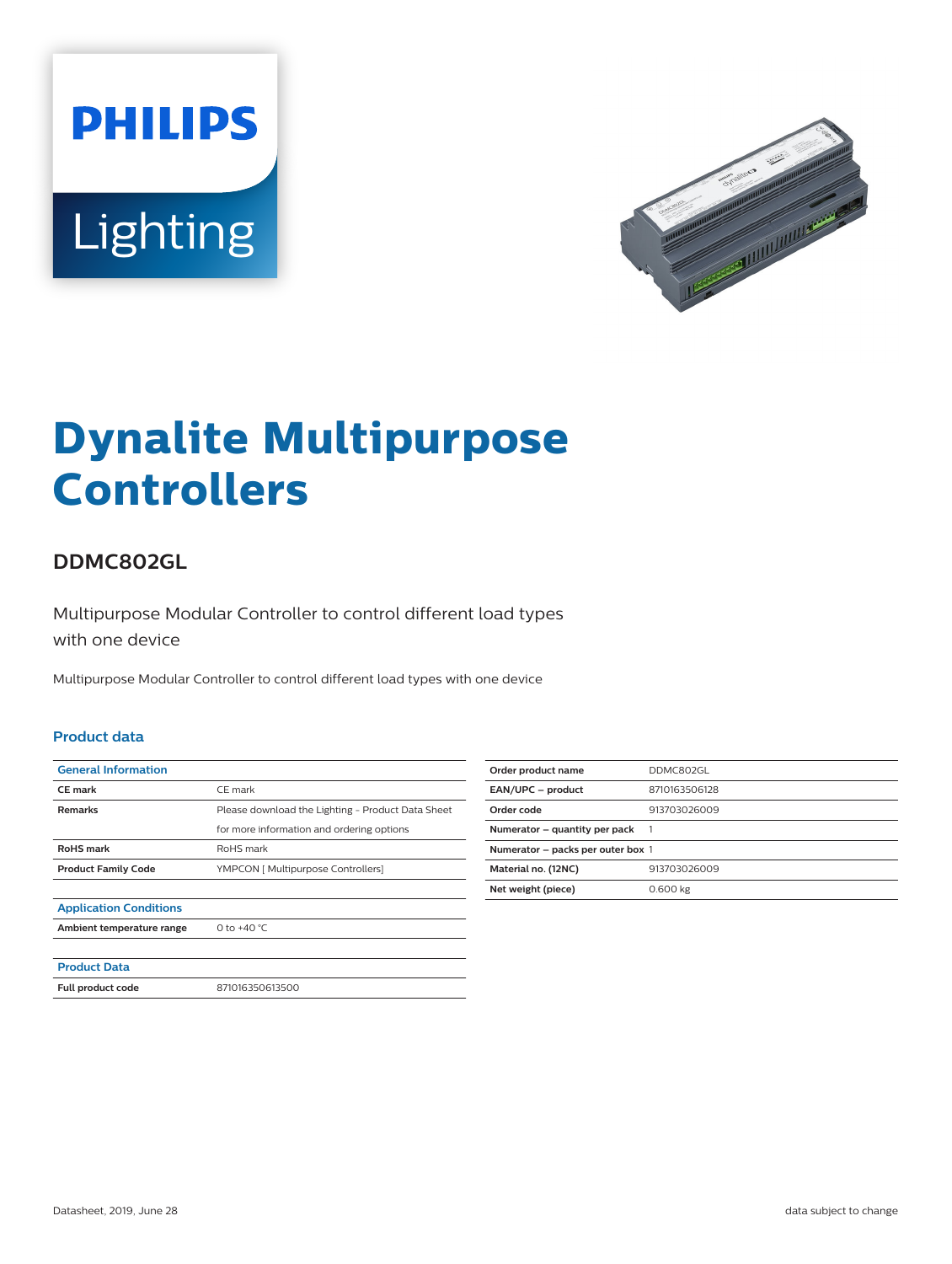



# **Dynalite Multipurpose Controllers**

## **DDMC802GL**

Multipurpose Modular Controller to control different load types with one device

Multipurpose Modular Controller to control different load types with one device

#### **Product data**

| <b>General Information</b>    |                                                   |
|-------------------------------|---------------------------------------------------|
| <b>CE</b> mark                | CE mark                                           |
| <b>Remarks</b>                | Please download the Lighting - Product Data Sheet |
|                               | for more information and ordering options         |
| <b>RoHS</b> mark              | RoHS mark                                         |
| <b>Product Family Code</b>    | YMPCON [ Multipurpose Controllers]                |
|                               |                                                   |
| <b>Application Conditions</b> |                                                   |
| Ambient temperature range     | 0 to $+40 °C$                                     |
|                               |                                                   |
| <b>Product Data</b>           |                                                   |
| <b>Full product code</b>      | 871016350613500                                   |

| Order product name                | DDMC802GL     |
|-----------------------------------|---------------|
| EAN/UPC - product                 | 8710163506128 |
| Order code                        | 913703026009  |
| Numerator – quantity per pack     | 1             |
| Numerator - packs per outer box 1 |               |
| Material no. (12NC)               | 913703026009  |
| Net weight (piece)                | 0.600 kg      |